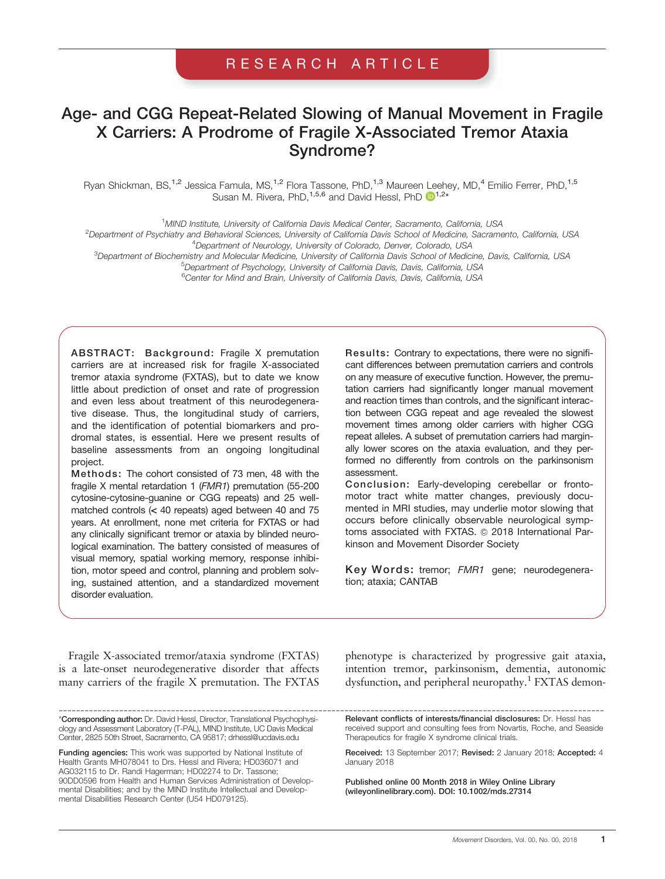# Age- and CGG Repeat-Related Slowing of Manual Movement in Fragile X Carriers: A Prodrome of Fragile X-Associated Tremor Ataxia Syndrome?

Ryan Shickman, BS,<sup>1,2</sup> Jessica Famula, MS,<sup>1,2</sup> Flora Tassone, PhD,<sup>1,3</sup> Maureen Leehey, MD,<sup>4</sup> Emilio Ferrer, PhD,<sup>1,5</sup> Susan M. Rivera, PhD,<sup>[1](http://orcid.org/0000-0002-3460-9805),5,6</sup> and David Hessl, PhD <sup>1,2\*</sup>

<sup>1</sup>MIND Institute, University of California Davis Medical Center, Sacramento, California, USA

<sup>2</sup>Department of Psychiatry and Behavioral Sciences, University of California Davis School of Medicine, Sacramento, California, USA<br><sup>4</sup>Department of <sup>4</sup>Department of Neurology University of Colorade, Depyer, Colorade, USA Department of Neurology, University of Colorado, Denver, Colorado, USA

3 Department of Biochemistry and Molecular Medicine, University of California Davis School of Medicine, Davis, California, USA <sup>5</sup>Department of Psychology, University of California Davis, Davis, California, USA

<sup>6</sup>Center for Mind and Brain, University of California Davis, Davis, California, USA

ABSTRACT: Background: Fragile X premutation carriers are at increased risk for fragile X-associated tremor ataxia syndrome (FXTAS), but to date we know little about prediction of onset and rate of progression and even less about treatment of this neurodegenerative disease. Thus, the longitudinal study of carriers, and the identification of potential biomarkers and prodromal states, is essential. Here we present results of baseline assessments from an ongoing longitudinal project.

Methods: The cohort consisted of 73 men, 48 with the fragile X mental retardation 1 (FMR1) premutation (55-200 cytosine-cytosine-guanine or CGG repeats) and 25 wellmatched controls (< 40 repeats) aged between 40 and 75 years. At enrollment, none met criteria for FXTAS or had any clinically significant tremor or ataxia by blinded neurological examination. The battery consisted of measures of visual memory, spatial working memory, response inhibition, motor speed and control, planning and problem solving, sustained attention, and a standardized movement disorder evaluation.

Results: Contrary to expectations, there were no significant differences between premutation carriers and controls on any measure of executive function. However, the premutation carriers had significantly longer manual movement and reaction times than controls, and the significant interaction between CGG repeat and age revealed the slowest movement times among older carriers with higher CGG repeat alleles. A subset of premutation carriers had marginally lower scores on the ataxia evaluation, and they performed no differently from controls on the parkinsonism assessment.

Conclusion: Early-developing cerebellar or frontomotor tract white matter changes, previously documented in MRI studies, may underlie motor slowing that occurs before clinically observable neurological symptoms associated with FXTAS. © 2018 International Parkinson and Movement Disorder Society

Key Words: tremor; FMR1 gene; neurodegeneration; ataxia; CANTAB

Fragile X-associated tremor/ataxia syndrome (FXTAS) is a late-onset neurodegenerative disorder that affects many carriers of the fragile X premutation. The FXTAS

\*Corresponding author: Dr. David Hessl, Director, Translational Psychophysiology and Assessment Laboratory (T-PAL), MIND Institute, UC Davis Medical Center, 2825 50th Street, Sacramento, CA 95817; drhessl@ucdavis.edu

Funding agencies: This work was supported by National Institute of Health Grants MH078041 to Drs. Hessl and Rivera; HD036071 and AG032115 to Dr. Randi Hagerman; HD02274 to Dr. Tassone; 90DD0596 from Health and Human Services Administration of Developmental Disabilities; and by the MIND Institute Intellectual and Developmental Disabilities Research Center (U54 HD079125).

phenotype is characterized by progressive gait ataxia, intention tremor, parkinsonism, dementia, autonomic dysfunction, and peripheral neuropathy.<sup>1</sup> FXTAS demon-

------------------------------------------------------------------------------------------------------------------------------ Relevant conflicts of interests/financial disclosures: Dr. Hessl has received support and consulting fees from Novartis, Roche, and Seaside Therapeutics for fragile X syndrome clinical trials.

> Received: 13 September 2017; Revised: 2 January 2018; Accepted: 4 January 2018

Published online 00 Month 2018 in Wiley Online Library (wileyonlinelibrary.com). DOI: 10.1002/mds.27314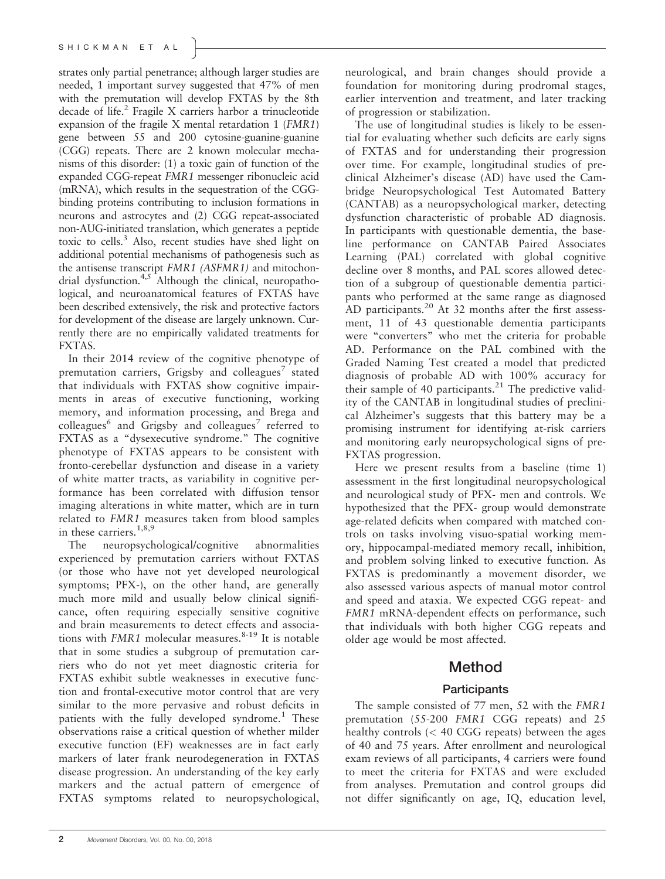strates only partial penetrance; although larger studies are needed, 1 important survey suggested that 47% of men with the premutation will develop FXTAS by the 8th decade of life.2 Fragile X carriers harbor a trinucleotide expansion of the fragile X mental retardation 1 (FMR1) gene between 55 and 200 cytosine-guanine-guanine (CGG) repeats. There are 2 known molecular mechanisms of this disorder: (1) a toxic gain of function of the expanded CGG-repeat FMR1 messenger ribonucleic acid (mRNA), which results in the sequestration of the CGGbinding proteins contributing to inclusion formations in neurons and astrocytes and (2) CGG repeat-associated non-AUG-initiated translation, which generates a peptide toxic to cells.<sup>3</sup> Also, recent studies have shed light on additional potential mechanisms of pathogenesis such as the antisense transcript FMR1 (ASFMR1) and mitochondrial dysfunction.<sup>4,5</sup> Although the clinical, neuropathological, and neuroanatomical features of FXTAS have been described extensively, the risk and protective factors for development of the disease are largely unknown. Currently there are no empirically validated treatments for FXTAS.

In their 2014 review of the cognitive phenotype of premutation carriers, Grigsby and colleagues<sup>7</sup> stated that individuals with FXTAS show cognitive impairments in areas of executive functioning, working memory, and information processing, and Brega and  $\text{colle}$ egues<sup>6</sup> and Grigsby and colleagues<sup>7</sup> referred to FXTAS as a "dysexecutive syndrome." The cognitive phenotype of FXTAS appears to be consistent with fronto-cerebellar dysfunction and disease in a variety of white matter tracts, as variability in cognitive performance has been correlated with diffusion tensor imaging alterations in white matter, which are in turn related to FMR1 measures taken from blood samples in these carriers.<sup>1,8,9</sup>

The neuropsychological/cognitive abnormalities experienced by premutation carriers without FXTAS (or those who have not yet developed neurological symptoms; PFX-), on the other hand, are generally much more mild and usually below clinical significance, often requiring especially sensitive cognitive and brain measurements to detect effects and associations with FMR1 molecular measures.  $8-19$  It is notable that in some studies a subgroup of premutation carriers who do not yet meet diagnostic criteria for FXTAS exhibit subtle weaknesses in executive function and frontal-executive motor control that are very similar to the more pervasive and robust deficits in patients with the fully developed syndrome.<sup>1</sup> These observations raise a critical question of whether milder executive function (EF) weaknesses are in fact early markers of later frank neurodegeneration in FXTAS disease progression. An understanding of the key early markers and the actual pattern of emergence of FXTAS symptoms related to neuropsychological,

The use of longitudinal studies is likely to be essential for evaluating whether such deficits are early signs of FXTAS and for understanding their progression over time. For example, longitudinal studies of preclinical Alzheimer's disease (AD) have used the Cambridge Neuropsychological Test Automated Battery (CANTAB) as a neuropsychological marker, detecting dysfunction characteristic of probable AD diagnosis. In participants with questionable dementia, the baseline performance on CANTAB Paired Associates Learning (PAL) correlated with global cognitive decline over 8 months, and PAL scores allowed detection of a subgroup of questionable dementia participants who performed at the same range as diagnosed AD participants.<sup>20</sup> At 32 months after the first assessment, 11 of 43 questionable dementia participants were "converters" who met the criteria for probable AD. Performance on the PAL combined with the Graded Naming Test created a model that predicted diagnosis of probable AD with 100% accuracy for their sample of 40 participants.<sup>21</sup> The predictive validity of the CANTAB in longitudinal studies of preclinical Alzheimer's suggests that this battery may be a promising instrument for identifying at-risk carriers and monitoring early neuropsychological signs of pre-FXTAS progression.

Here we present results from a baseline (time 1) assessment in the first longitudinal neuropsychological and neurological study of PFX- men and controls. We hypothesized that the PFX- group would demonstrate age-related deficits when compared with matched controls on tasks involving visuo-spatial working memory, hippocampal-mediated memory recall, inhibition, and problem solving linked to executive function. As FXTAS is predominantly a movement disorder, we also assessed various aspects of manual motor control and speed and ataxia. We expected CGG repeat- and FMR1 mRNA-dependent effects on performance, such that individuals with both higher CGG repeats and older age would be most affected.

# Method

# **Participants**

The sample consisted of 77 men, 52 with the FMR1 premutation (55-200 FMR1 CGG repeats) and 25 healthy controls (< 40 CGG repeats) between the ages of 40 and 75 years. After enrollment and neurological exam reviews of all participants, 4 carriers were found to meet the criteria for FXTAS and were excluded from analyses. Premutation and control groups did not differ significantly on age, IQ, education level,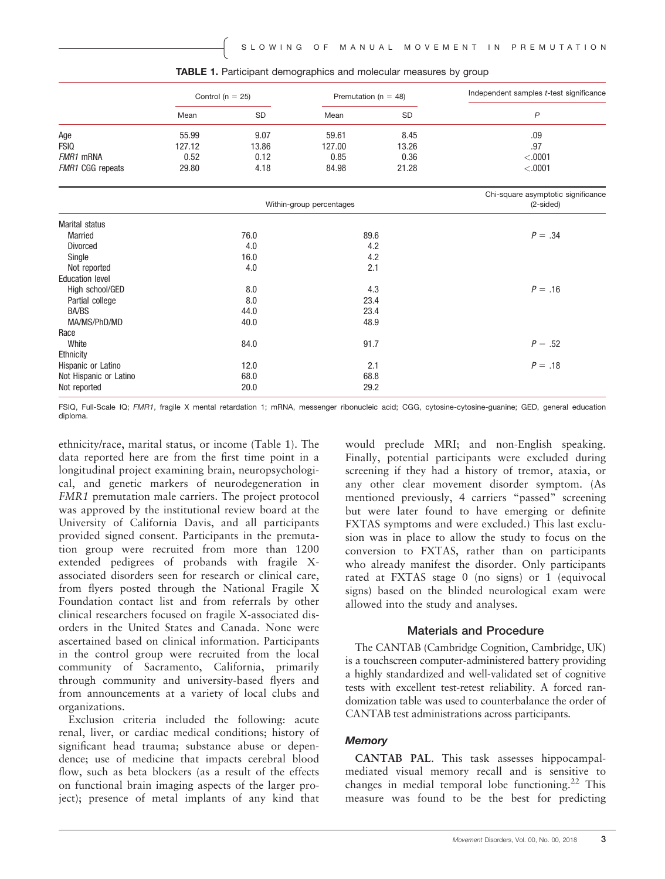|                        | Control ( $n = 25$ ) |           | Premutation ( $n = 48$ ) |           | Independent samples t-test significance           |  |
|------------------------|----------------------|-----------|--------------------------|-----------|---------------------------------------------------|--|
|                        | Mean                 | <b>SD</b> | Mean                     | <b>SD</b> | $\mathsf{P}$                                      |  |
| Age                    | 55.99                | 9.07      | 59.61                    | 8.45      | .09                                               |  |
| <b>FSIQ</b>            | 127.12               | 13.86     | 127.00                   | 13.26     | .97                                               |  |
| FMR1 mRNA              | 0.52                 | 0.12      | 0.85                     | 0.36      | < .0001                                           |  |
| FMR1 CGG repeats       | 29.80                | 4.18      | 84.98                    | 21.28     | < .0001                                           |  |
|                        |                      |           | Within-group percentages |           | Chi-square asymptotic significance<br>$(2-sided)$ |  |
| <b>Marital status</b>  |                      |           |                          |           |                                                   |  |
| Married                |                      | 76.0      |                          | 89.6      | $P = .34$                                         |  |
| <b>Divorced</b>        |                      | 4.0       |                          | 4.2       |                                                   |  |
| Single                 |                      | 16.0      |                          | 4.2       |                                                   |  |
| Not reported           |                      | 4.0       |                          | 2.1       |                                                   |  |
| <b>Education level</b> |                      |           |                          |           |                                                   |  |
| High school/GED        |                      | 8.0       |                          | 4.3       | $P=.16$                                           |  |
| Partial college        |                      | 8.0       |                          | 23.4      |                                                   |  |
| BA/BS                  |                      | 44.0      |                          | 23.4      |                                                   |  |
| MA/MS/PhD/MD           |                      | 40.0      |                          | 48.9      |                                                   |  |
| Race                   |                      |           |                          |           |                                                   |  |
| White                  |                      | 84.0      |                          | 91.7      | $P = .52$                                         |  |
| Ethnicity              |                      |           |                          |           |                                                   |  |
| Hispanic or Latino     |                      | 12.0      |                          | 2.1       | $P = .18$                                         |  |
| Not Hispanic or Latino |                      | 68.0      |                          | 68.8      |                                                   |  |
| Not reported           |                      | 20.0      |                          | 29.2      |                                                   |  |

TABLE 1. Participant demographics and molecular measures by group

FSIQ, Full-Scale IQ; FMR1, fragile X mental retardation 1; mRNA, messenger ribonucleic acid; CGG, cytosine-cytosine-guanine; GED, general education diploma.

ethnicity/race, marital status, or income (Table 1). The data reported here are from the first time point in a longitudinal project examining brain, neuropsychological, and genetic markers of neurodegeneration in FMR1 premutation male carriers. The project protocol was approved by the institutional review board at the University of California Davis, and all participants provided signed consent. Participants in the premutation group were recruited from more than 1200 extended pedigrees of probands with fragile Xassociated disorders seen for research or clinical care, from flyers posted through the National Fragile X Foundation contact list and from referrals by other clinical researchers focused on fragile X-associated disorders in the United States and Canada. None were ascertained based on clinical information. Participants in the control group were recruited from the local community of Sacramento, California, primarily through community and university-based flyers and from announcements at a variety of local clubs and organizations.

Exclusion criteria included the following: acute renal, liver, or cardiac medical conditions; history of significant head trauma; substance abuse or dependence; use of medicine that impacts cerebral blood flow, such as beta blockers (as a result of the effects on functional brain imaging aspects of the larger project); presence of metal implants of any kind that

would preclude MRI; and non-English speaking. Finally, potential participants were excluded during screening if they had a history of tremor, ataxia, or any other clear movement disorder symptom. (As mentioned previously, 4 carriers "passed" screening but were later found to have emerging or definite FXTAS symptoms and were excluded.) This last exclusion was in place to allow the study to focus on the conversion to FXTAS, rather than on participants who already manifest the disorder. Only participants rated at FXTAS stage 0 (no signs) or 1 (equivocal signs) based on the blinded neurological exam were allowed into the study and analyses.

### Materials and Procedure

The CANTAB (Cambridge Cognition, Cambridge, UK) is a touchscreen computer-administered battery providing a highly standardized and well-validated set of cognitive tests with excellent test-retest reliability. A forced randomization table was used to counterbalance the order of CANTAB test administrations across participants.

## **Memory**

CANTAB PAL. This task assesses hippocampalmediated visual memory recall and is sensitive to changes in medial temporal lobe functioning.<sup>22</sup> This measure was found to be the best for predicting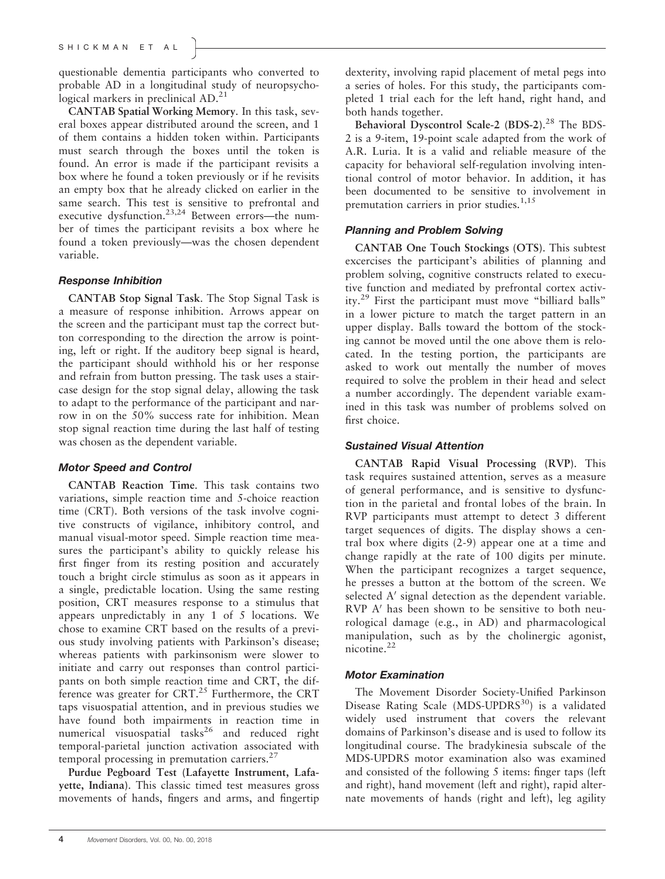questionable dementia participants who converted to probable AD in a longitudinal study of neuropsychological markers in preclinical AD.<sup>21</sup>

CANTAB Spatial Working Memory. In this task, several boxes appear distributed around the screen, and 1 of them contains a hidden token within. Participants must search through the boxes until the token is found. An error is made if the participant revisits a box where he found a token previously or if he revisits an empty box that he already clicked on earlier in the same search. This test is sensitive to prefrontal and executive dysfunction.<sup>23,24</sup> Between errors—the number of times the participant revisits a box where he found a token previously—was the chosen dependent variable.

## Response Inhibition

CANTAB Stop Signal Task. The Stop Signal Task is a measure of response inhibition. Arrows appear on the screen and the participant must tap the correct button corresponding to the direction the arrow is pointing, left or right. If the auditory beep signal is heard, the participant should withhold his or her response and refrain from button pressing. The task uses a staircase design for the stop signal delay, allowing the task to adapt to the performance of the participant and narrow in on the 50% success rate for inhibition. Mean stop signal reaction time during the last half of testing was chosen as the dependent variable.

### Motor Speed and Control

CANTAB Reaction Time. This task contains two variations, simple reaction time and 5-choice reaction time (CRT). Both versions of the task involve cognitive constructs of vigilance, inhibitory control, and manual visual-motor speed. Simple reaction time measures the participant's ability to quickly release his first finger from its resting position and accurately touch a bright circle stimulus as soon as it appears in a single, predictable location. Using the same resting position, CRT measures response to a stimulus that appears unpredictably in any 1 of 5 locations. We chose to examine CRT based on the results of a previous study involving patients with Parkinson's disease; whereas patients with parkinsonism were slower to initiate and carry out responses than control participants on both simple reaction time and CRT, the difference was greater for  $CRT<sup>25</sup>$  Furthermore, the CRT taps visuospatial attention, and in previous studies we have found both impairments in reaction time in numerical visuospatial tasks<sup>26</sup> and reduced right temporal-parietal junction activation associated with temporal processing in premutation carriers. $27$ 

Purdue Pegboard Test (Lafayette Instrument, Lafayette, Indiana). This classic timed test measures gross movements of hands, fingers and arms, and fingertip dexterity, involving rapid placement of metal pegs into a series of holes. For this study, the participants completed 1 trial each for the left hand, right hand, and both hands together.

Behavioral Dyscontrol Scale-2 (BDS-2).<sup>28</sup> The BDS-2 is a 9-item, 19-point scale adapted from the work of A.R. Luria. It is a valid and reliable measure of the capacity for behavioral self-regulation involving intentional control of motor behavior. In addition, it has been documented to be sensitive to involvement in premutation carriers in prior studies.<sup>1,15</sup>

# Planning and Problem Solving

CANTAB One Touch Stockings (OTS). This subtest excercises the participant's abilities of planning and problem solving, cognitive constructs related to executive function and mediated by prefrontal cortex activity.<sup>29</sup> First the participant must move "billiard balls" in a lower picture to match the target pattern in an upper display. Balls toward the bottom of the stocking cannot be moved until the one above them is relocated. In the testing portion, the participants are asked to work out mentally the number of moves required to solve the problem in their head and select a number accordingly. The dependent variable examined in this task was number of problems solved on first choice.

# Sustained Visual Attention

CANTAB Rapid Visual Processing (RVP). This task requires sustained attention, serves as a measure of general performance, and is sensitive to dysfunction in the parietal and frontal lobes of the brain. In RVP participants must attempt to detect 3 different target sequences of digits. The display shows a central box where digits (2-9) appear one at a time and change rapidly at the rate of 100 digits per minute. When the participant recognizes a target sequence, he presses a button at the bottom of the screen. We selected A' signal detection as the dependent variable. RVP A' has been shown to be sensitive to both neurological damage (e.g., in AD) and pharmacological manipulation, such as by the cholinergic agonist, nicotine.<sup>22</sup>

### Motor Examination

The Movement Disorder Society-Unified Parkinson Disease Rating Scale (MDS-UPDRS $30$ ) is a validated widely used instrument that covers the relevant domains of Parkinson's disease and is used to follow its longitudinal course. The bradykinesia subscale of the MDS-UPDRS motor examination also was examined and consisted of the following 5 items: finger taps (left and right), hand movement (left and right), rapid alternate movements of hands (right and left), leg agility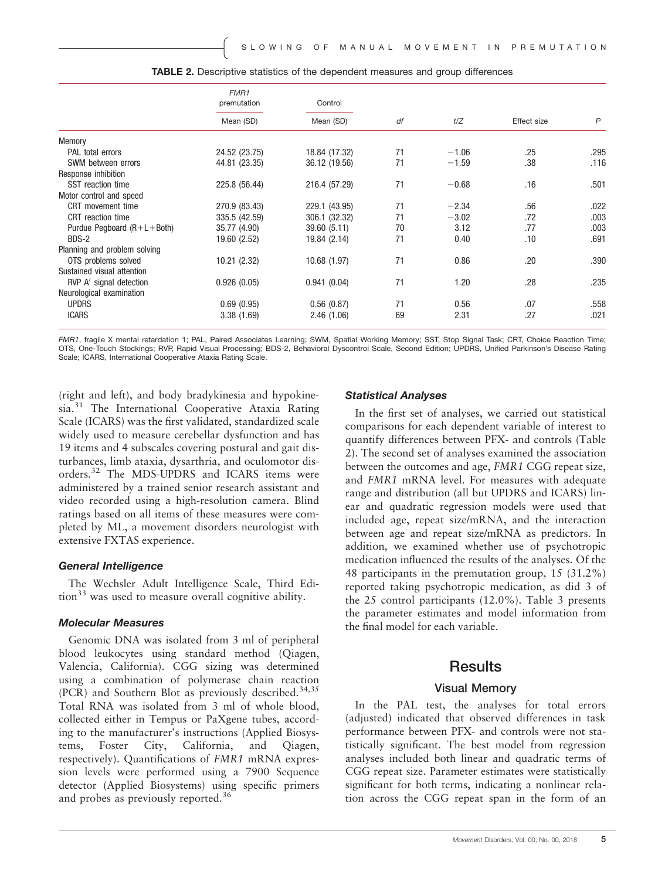|                              | FMR1<br>premutation | Control       |    |         |             |                |
|------------------------------|---------------------|---------------|----|---------|-------------|----------------|
|                              | Mean (SD)           | Mean (SD)     | df | t/Z     | Effect size | $\overline{P}$ |
| Memory                       |                     |               |    |         |             |                |
| <b>PAL total errors</b>      | 24.52 (23.75)       | 18.84 (17.32) | 71 | $-1.06$ | .25         | .295           |
| SWM between errors           | 44.81 (23.35)       | 36.12 (19.56) | 71 | $-1.59$ | .38         | .116           |
| Response inhibition          |                     |               |    |         |             |                |
| SST reaction time            | 225.8 (56.44)       | 216.4 (57.29) | 71 | $-0.68$ | .16         | .501           |
| Motor control and speed      |                     |               |    |         |             |                |
| CRT movement time            | 270.9 (83.43)       | 229.1 (43.95) | 71 | $-2.34$ | .56         | .022           |
| CRT reaction time            | 335.5 (42.59)       | 306.1 (32.32) | 71 | $-3.02$ | .72         | .003           |
| Purdue Peqboard $(R+L+Both)$ | 35.77 (4.90)        | 39.60 (5.11)  | 70 | 3.12    | .77         | .003           |
| BDS-2                        | 19.60 (2.52)        | 19.84 (2.14)  | 71 | 0.40    | .10         | .691           |
| Planning and problem solving |                     |               |    |         |             |                |
| OTS problems solved          | 10.21(2.32)         | 10.68(1.97)   | 71 | 0.86    | .20         | .390           |
| Sustained visual attention   |                     |               |    |         |             |                |
| RVP A' signal detection      | 0.926(0.05)         | 0.941(0.04)   | 71 | 1.20    | .28         | .235           |
| Neurological examination     |                     |               |    |         |             |                |
| <b>UPDRS</b>                 | 0.69(0.95)          | 0.56(0.87)    | 71 | 0.56    | .07         | .558           |
| <b>ICARS</b>                 | 3.38(1.69)          | 2.46(1.06)    | 69 | 2.31    | .27         | .021           |

| <b>TABLE 2.</b> Descriptive statistics of the dependent measures and group differences |  |  |  |  |
|----------------------------------------------------------------------------------------|--|--|--|--|
|                                                                                        |  |  |  |  |

FMR1, fragile X mental retardation 1; PAL, Paired Associates Learning; SWM, Spatial Working Memory; SST, Stop Signal Task; CRT, Choice Reaction Time; OTS, One-Touch Stockings; RVP, Rapid Visual Processing; BDS-2, Behavioral Dyscontrol Scale, Second Edition; UPDRS, Unified Parkinson's Disease Rating Scale; ICARS, International Cooperative Ataxia Rating Scale.

(right and left), and body bradykinesia and hypokinesia.<sup>31</sup> The International Cooperative Ataxia Rating Scale (ICARS) was the first validated, standardized scale widely used to measure cerebellar dysfunction and has 19 items and 4 subscales covering postural and gait disturbances, limb ataxia, dysarthria, and oculomotor disorders.<sup>32</sup> The MDS-UPDRS and ICARS items were administered by a trained senior research assistant and video recorded using a high-resolution camera. Blind ratings based on all items of these measures were completed by ML, a movement disorders neurologist with extensive FXTAS experience.

#### General Intelligence

The Wechsler Adult Intelligence Scale, Third Edi- $\frac{1}{3}$  was used to measure overall cognitive ability.

#### Molecular Measures

Genomic DNA was isolated from 3 ml of peripheral blood leukocytes using standard method (Qiagen, Valencia, California). CGG sizing was determined using a combination of polymerase chain reaction (PCR) and Southern Blot as previously described.<sup>34,35</sup> Total RNA was isolated from 3 ml of whole blood, collected either in Tempus or PaXgene tubes, according to the manufacturer's instructions (Applied Biosystems, Foster City, California, and Qiagen, respectively). Quantifications of FMR1 mRNA expression levels were performed using a 7900 Sequence detector (Applied Biosystems) using specific primers and probes as previously reported.<sup>36</sup>

#### Statistical Analyses

In the first set of analyses, we carried out statistical comparisons for each dependent variable of interest to quantify differences between PFX- and controls (Table 2). The second set of analyses examined the association between the outcomes and age, FMR1 CGG repeat size, and FMR1 mRNA level. For measures with adequate range and distribution (all but UPDRS and ICARS) linear and quadratic regression models were used that included age, repeat size/mRNA, and the interaction between age and repeat size/mRNA as predictors. In addition, we examined whether use of psychotropic medication influenced the results of the analyses. Of the 48 participants in the premutation group, 15 (31.2%) reported taking psychotropic medication, as did 3 of the 25 control participants (12.0%). Table 3 presents the parameter estimates and model information from the final model for each variable.

# **Results**

#### Visual Memory

In the PAL test, the analyses for total errors (adjusted) indicated that observed differences in task performance between PFX- and controls were not statistically significant. The best model from regression analyses included both linear and quadratic terms of CGG repeat size. Parameter estimates were statistically significant for both terms, indicating a nonlinear relation across the CGG repeat span in the form of an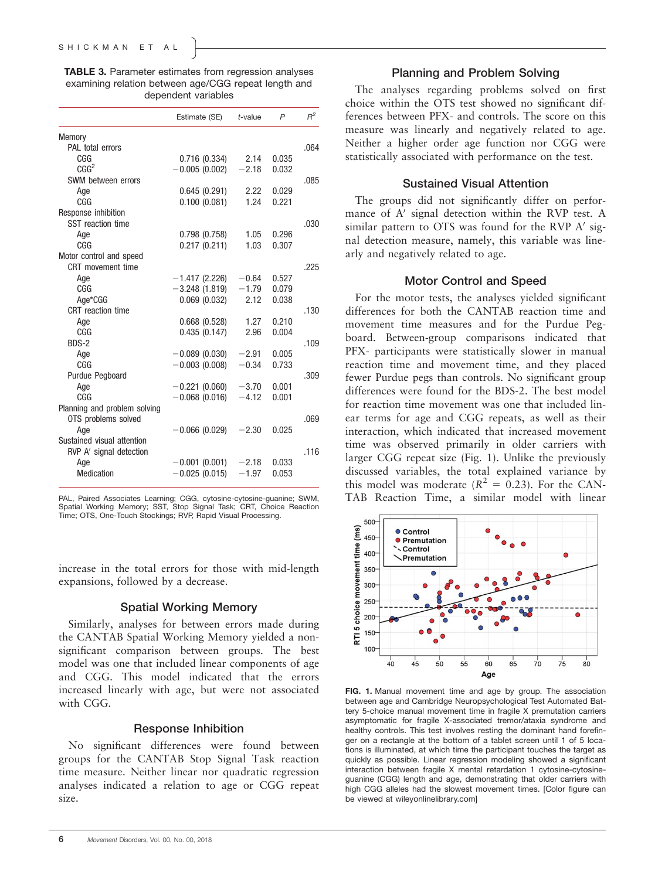| <b>TABLE 3.</b> Parameter estimates from regression analyses |  |
|--------------------------------------------------------------|--|
| examining relation between age/CGG repeat length and         |  |
| dependent variables                                          |  |

|                              | Estimate (SE)    | $t$ -value | P     | $R^2$ |
|------------------------------|------------------|------------|-------|-------|
| Memory                       |                  |            |       |       |
| PAL total errors             |                  |            |       | .064  |
| CGG                          | 0.716(0.334)     | 2.14       | 0.035 |       |
| CGG <sup>2</sup>             | $-0.005(0.002)$  | $-2.18$    | 0.032 |       |
| SWM between errors           |                  |            |       | .085  |
| Age                          | 0.645(0.291)     | 2.22       | 0.029 |       |
| CGG                          | 0.100(0.081)     | 1.24       | 0.221 |       |
| Response inhibition          |                  |            |       |       |
| SST reaction time            |                  |            |       | .030  |
| Age                          | 0.798(0.758)     | 1.05       | 0.296 |       |
| CGG                          | 0.217(0.211)     | 1.03       | 0.307 |       |
| Motor control and speed      |                  |            |       |       |
| CRT movement time            |                  |            |       | .225  |
| Age                          | $-1.417(2.226)$  | $-0.64$    | 0.527 |       |
| CGG                          | $-3.248(1.819)$  | $-1.79$    | 0.079 |       |
| Age*CGG                      | 0.069(0.032)     | 2.12       | 0.038 |       |
| CRT reaction time            |                  |            |       | .130  |
| Age                          | 0.668(0.528)     | 1.27       | 0.210 |       |
| CGG                          | 0.435(0.147)     | 2.96       | 0.004 |       |
| BDS-2                        |                  |            |       | .109  |
| Age                          | $-0.089(0.030)$  | $-2.91$    | 0.005 |       |
| CGG                          | $-0.003(0.008)$  | $-0.34$    | 0.733 |       |
| Purdue Pegboard              |                  |            |       | .309  |
| Age                          | $-0.221(0.060)$  | $-3.70$    | 0.001 |       |
| CGG                          | $-0.068(0.016)$  | $-4.12$    | 0.001 |       |
| Planning and problem solving |                  |            |       |       |
| OTS problems solved          |                  |            |       | .069  |
| Age                          | $-0.066$ (0.029) | $-2.30$    | 0.025 |       |
| Sustained visual attention   |                  |            |       |       |
| RVP A' signal detection      |                  |            |       | .116  |
| Age                          | $-0.001(0.001)$  | $-2.18$    | 0.033 |       |
| Medication                   | $-0.025(0.015)$  | $-1.97$    | 0.053 |       |
|                              |                  |            |       |       |

PAL, Paired Associates Learning; CGG, cytosine-cytosine-guanine; SWM, Spatial Working Memory; SST, Stop Signal Task; CRT, Choice Reaction Time; OTS, One-Touch Stockings; RVP, Rapid Visual Processing.

increase in the total errors for those with mid-length expansions, followed by a decrease.

# Spatial Working Memory

Similarly, analyses for between errors made during the CANTAB Spatial Working Memory yielded a nonsignificant comparison between groups. The best model was one that included linear components of age and CGG. This model indicated that the errors increased linearly with age, but were not associated with CGG.

### Response Inhibition

No significant differences were found between groups for the CANTAB Stop Signal Task reaction time measure. Neither linear nor quadratic regression analyses indicated a relation to age or CGG repeat size.

### Planning and Problem Solving

The analyses regarding problems solved on first choice within the OTS test showed no significant differences between PFX- and controls. The score on this measure was linearly and negatively related to age. Neither a higher order age function nor CGG were statistically associated with performance on the test.

### Sustained Visual Attention

The groups did not significantly differ on performance of  $A'$  signal detection within the RVP test. A similar pattern to OTS was found for the RVP  $A'$  signal detection measure, namely, this variable was linearly and negatively related to age.

### Motor Control and Speed

For the motor tests, the analyses yielded significant differences for both the CANTAB reaction time and movement time measures and for the Purdue Pegboard. Between-group comparisons indicated that PFX- participants were statistically slower in manual reaction time and movement time, and they placed fewer Purdue pegs than controls. No significant group differences were found for the BDS-2. The best model for reaction time movement was one that included linear terms for age and CGG repeats, as well as their interaction, which indicated that increased movement time was observed primarily in older carriers with larger CGG repeat size (Fig. 1). Unlike the previously discussed variables, the total explained variance by this model was moderate ( $R^2 = 0.23$ ). For the CAN-TAB Reaction Time, a similar model with linear



FIG. 1. Manual movement time and age by group. The association between age and Cambridge Neuropsychological Test Automated Battery 5-choice manual movement time in fragile X premutation carriers asymptomatic for fragile X-associated tremor/ataxia syndrome and healthy controls. This test involves resting the dominant hand forefinger on a rectangle at the bottom of a tablet screen until 1 of 5 locations is illuminated, at which time the participant touches the target as quickly as possible. Linear regression modeling showed a significant interaction between fragile X mental retardation 1 cytosine-cytosineguanine (CGG) length and age, demonstrating that older carriers with high CGG alleles had the slowest movement times. [Color figure can be viewed at [wileyonlinelibrary.com\]](http://wileyonlinelibrary.com)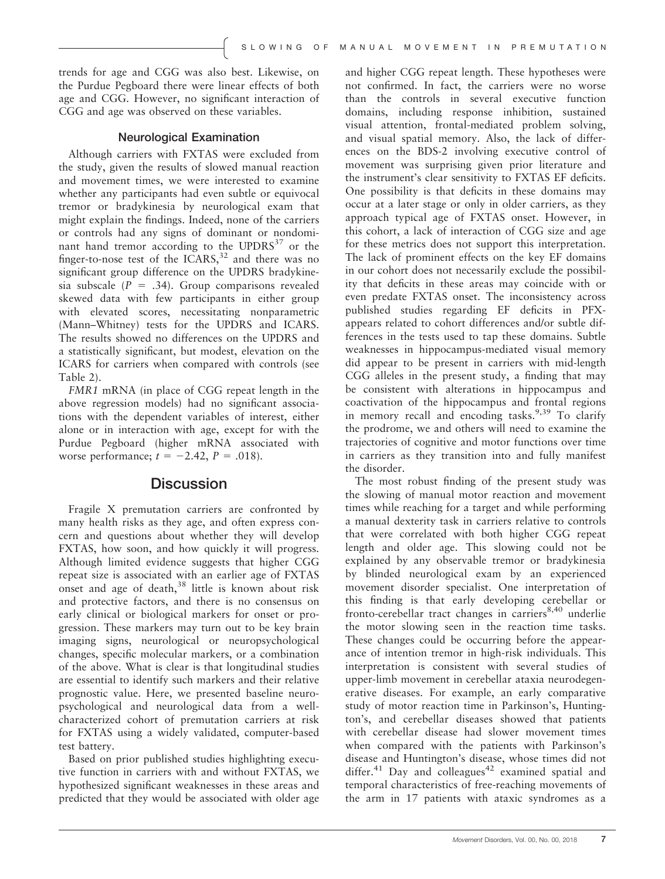trends for age and CGG was also best. Likewise, on the Purdue Pegboard there were linear effects of both age and CGG. However, no significant interaction of CGG and age was observed on these variables.

# Neurological Examination

Although carriers with FXTAS were excluded from the study, given the results of slowed manual reaction and movement times, we were interested to examine whether any participants had even subtle or equivocal tremor or bradykinesia by neurological exam that might explain the findings. Indeed, none of the carriers or controls had any signs of dominant or nondominant hand tremor according to the UPDRS $37$  or the finger-to-nose test of the  $ICARS$ ,<sup>32</sup> and there was no significant group difference on the UPDRS bradykinesia subscale ( $P = .34$ ). Group comparisons revealed skewed data with few participants in either group with elevated scores, necessitating nonparametric (Mann–Whitney) tests for the UPDRS and ICARS. The results showed no differences on the UPDRS and a statistically significant, but modest, elevation on the ICARS for carriers when compared with controls (see Table 2).

FMR1 mRNA (in place of CGG repeat length in the above regression models) had no significant associations with the dependent variables of interest, either alone or in interaction with age, except for with the Purdue Pegboard (higher mRNA associated with worse performance;  $t = -2.42$ ,  $P = .018$ ).

# **Discussion**

Fragile X premutation carriers are confronted by many health risks as they age, and often express concern and questions about whether they will develop FXTAS, how soon, and how quickly it will progress. Although limited evidence suggests that higher CGG repeat size is associated with an earlier age of FXTAS onset and age of death,<sup>38</sup> little is known about risk and protective factors, and there is no consensus on early clinical or biological markers for onset or progression. These markers may turn out to be key brain imaging signs, neurological or neuropsychological changes, specific molecular markers, or a combination of the above. What is clear is that longitudinal studies are essential to identify such markers and their relative prognostic value. Here, we presented baseline neuropsychological and neurological data from a wellcharacterized cohort of premutation carriers at risk for FXTAS using a widely validated, computer-based test battery.

Based on prior published studies highlighting executive function in carriers with and without FXTAS, we hypothesized significant weaknesses in these areas and predicted that they would be associated with older age and higher CGG repeat length. These hypotheses were not confirmed. In fact, the carriers were no worse than the controls in several executive function domains, including response inhibition, sustained visual attention, frontal-mediated problem solving, and visual spatial memory. Also, the lack of differences on the BDS-2 involving executive control of movement was surprising given prior literature and the instrument's clear sensitivity to FXTAS EF deficits. One possibility is that deficits in these domains may occur at a later stage or only in older carriers, as they approach typical age of FXTAS onset. However, in this cohort, a lack of interaction of CGG size and age for these metrics does not support this interpretation. The lack of prominent effects on the key EF domains in our cohort does not necessarily exclude the possibility that deficits in these areas may coincide with or even predate FXTAS onset. The inconsistency across published studies regarding EF deficits in PFXappears related to cohort differences and/or subtle differences in the tests used to tap these domains. Subtle weaknesses in hippocampus-mediated visual memory did appear to be present in carriers with mid-length CGG alleles in the present study, a finding that may be consistent with alterations in hippocampus and coactivation of the hippocampus and frontal regions in memory recall and encoding tasks.<sup>9,39</sup> To clarify the prodrome, we and others will need to examine the trajectories of cognitive and motor functions over time in carriers as they transition into and fully manifest the disorder.

The most robust finding of the present study was the slowing of manual motor reaction and movement times while reaching for a target and while performing a manual dexterity task in carriers relative to controls that were correlated with both higher CGG repeat length and older age. This slowing could not be explained by any observable tremor or bradykinesia by blinded neurological exam by an experienced movement disorder specialist. One interpretation of this finding is that early developing cerebellar or fronto-cerebellar tract changes in carriers $8,40$  underlie the motor slowing seen in the reaction time tasks. These changes could be occurring before the appearance of intention tremor in high-risk individuals. This interpretation is consistent with several studies of upper-limb movement in cerebellar ataxia neurodegenerative diseases. For example, an early comparative study of motor reaction time in Parkinson's, Huntington's, and cerebellar diseases showed that patients with cerebellar disease had slower movement times when compared with the patients with Parkinson's disease and Huntington's disease, whose times did not differ.<sup>41</sup> Day and colleagues<sup>42</sup> examined spatial and temporal characteristics of free-reaching movements of the arm in 17 patients with ataxic syndromes as a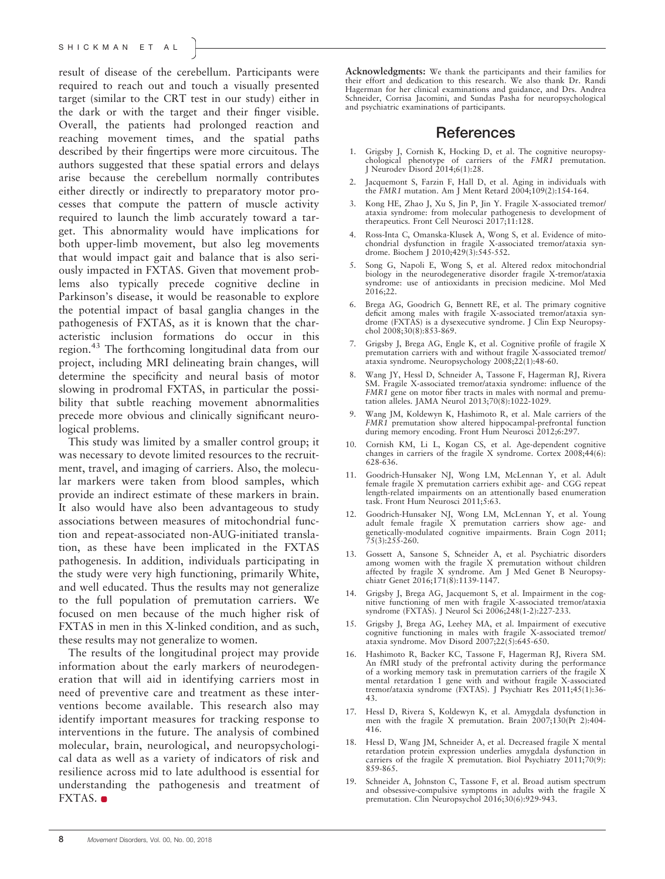result of disease of the cerebellum. Participants were required to reach out and touch a visually presented target (similar to the CRT test in our study) either in the dark or with the target and their finger visible. Overall, the patients had prolonged reaction and reaching movement times, and the spatial paths described by their fingertips were more circuitous. The authors suggested that these spatial errors and delays arise because the cerebellum normally contributes either directly or indirectly to preparatory motor processes that compute the pattern of muscle activity required to launch the limb accurately toward a target. This abnormality would have implications for both upper-limb movement, but also leg movements that would impact gait and balance that is also seriously impacted in FXTAS. Given that movement problems also typically precede cognitive decline in Parkinson's disease, it would be reasonable to explore the potential impact of basal ganglia changes in the pathogenesis of FXTAS, as it is known that the characteristic inclusion formations do occur in this region.<sup>43</sup> The forthcoming longitudinal data from our project, including MRI delineating brain changes, will determine the specificity and neural basis of motor slowing in prodromal FXTAS, in particular the possibility that subtle reaching movement abnormalities precede more obvious and clinically significant neurological problems.

This study was limited by a smaller control group; it was necessary to devote limited resources to the recruitment, travel, and imaging of carriers. Also, the molecular markers were taken from blood samples, which provide an indirect estimate of these markers in brain. It also would have also been advantageous to study associations between measures of mitochondrial function and repeat-associated non-AUG-initiated translation, as these have been implicated in the FXTAS pathogenesis. In addition, individuals participating in the study were very high functioning, primarily White, and well educated. Thus the results may not generalize to the full population of premutation carriers. We focused on men because of the much higher risk of FXTAS in men in this X-linked condition, and as such, these results may not generalize to women.

The results of the longitudinal project may provide information about the early markers of neurodegeneration that will aid in identifying carriers most in need of preventive care and treatment as these interventions become available. This research also may identify important measures for tracking response to interventions in the future. The analysis of combined molecular, brain, neurological, and neuropsychological data as well as a variety of indicators of risk and resilience across mid to late adulthood is essential for understanding the pathogenesis and treatment of FXTAS.

Acknowledgments: We thank the participants and their families for their effort and dedication to this research. We also thank Dr. Randi Hagerman for her clinical examinations and guidance, and Drs. Andrea Schneider, Corrisa Jacomini, and Sundas Pasha for neuropsychological and psychiatric examinations of participants.

# **References**

- 1. Grigsby J, Cornish K, Hocking D, et al. The cognitive neuropsychological phenotype of carriers of the FMR1 premutation. J Neurodev Disord 2014;6(1):28.
- 2. Jacquemont S, Farzin F, Hall D, et al. Aging in individuals with the FMR1 mutation. Am J Ment Retard 2004;109(2):154-164.
- 3. Kong HE, Zhao J, Xu S, Jin P, Jin Y. Fragile X-associated tremor/ ataxia syndrome: from molecular pathogenesis to development of therapeutics. Front Cell Neurosci 2017;11:128.
- 4. Ross-Inta C, Omanska-Klusek A, Wong S, et al. Evidence of mitochondrial dysfunction in fragile X-associated tremor/ataxia syndrome. Biochem J 2010;429(3):545-552.
- 5. Song G, Napoli E, Wong S, et al. Altered redox mitochondrial biology in the neurodegenerative disorder fragile X-tremor/ataxia syndrome: use of antioxidants in precision medicine. Mol Med 2016;22.
- 6. Brega AG, Goodrich G, Bennett RE, et al. The primary cognitive deficit among males with fragile X-associated tremor/ataxia syndrome (FXTAS) is a dysexecutive syndrome. J Clin Exp Neuropsychol 2008;30(8):853-869.
- 7. Grigsby J, Brega AG, Engle K, et al. Cognitive profile of fragile X premutation carriers with and without fragile X-associated tremor/ ataxia syndrome. Neuropsychology 2008;22(1):48-60.
- 8. Wang JY, Hessl D, Schneider A, Tassone F, Hagerman RJ, Rivera SM. Fragile X-associated tremor/ataxia syndrome: influence of the FMR1 gene on motor fiber tracts in males with normal and premutation alleles. JAMA Neurol 2013;70(8):1022-1029.
- 9. Wang JM, Koldewyn K, Hashimoto R, et al. Male carriers of the FMR1 premutation show altered hippocampal-prefrontal function during memory encoding. Front Hum Neurosci 2012;6:297.
- 10. Cornish KM, Li L, Kogan CS, et al. Age-dependent cognitive changes in carriers of the fragile X syndrome. Cortex 2008;44(6): 628-636.
- 11. Goodrich-Hunsaker NJ, Wong LM, McLennan Y, et al. Adult female fragile X premutation carriers exhibit age- and CGG repeat length-related impairments on an attentionally based enumeration task. Front Hum Neurosci 2011;5:63.
- 12. Goodrich-Hunsaker NJ, Wong LM, McLennan Y, et al. Young adult female fragile X premutation carriers show age- and genetically-modulated cognitive impairments. Brain Cogn 2011; 75(3):255-260.
- 13. Gossett A, Sansone S, Schneider A, et al. Psychiatric disorders among women with the fragile X premutation without children affected by fragile X syndrome. Am J Med Genet B Neuropsychiatr Genet 2016;171(8):1139-1147.
- 14. Grigsby J, Brega AG, Jacquemont S, et al. Impairment in the cognitive functioning of men with fragile X-associated tremor/ataxia syndrome (FXTAS). J Neurol Sci 2006;248(1-2):227-233.
- 15. Grigsby J, Brega AG, Leehey MA, et al. Impairment of executive cognitive functioning in males with fragile X-associated tremor/ ataxia syndrome. Mov Disord 2007;22(5):645-650.
- 16. Hashimoto R, Backer KC, Tassone F, Hagerman RJ, Rivera SM. An fMRI study of the prefrontal activity during the performance of a working memory task in premutation carriers of the fragile X mental retardation 1 gene with and without fragile X-associated tremor/ataxia syndrome (FXTAS). J Psychiatr Res 2011;45(1):36- 43.
- 17. Hessl D, Rivera S, Koldewyn K, et al. Amygdala dysfunction in men with the fragile X premutation. Brain 2007;130(Pt 2):404- 416.
- 18. Hessl D, Wang JM, Schneider A, et al. Decreased fragile X mental retardation protein expression underlies amygdala dysfunction in carriers of the fragile X premutation. Biol Psychiatry 2011;70(9): 859-865.
- 19. Schneider A, Johnston C, Tassone F, et al. Broad autism spectrum and obsessive-compulsive symptoms in adults with the fragile X premutation. Clin Neuropsychol 2016;30(6):929-943.